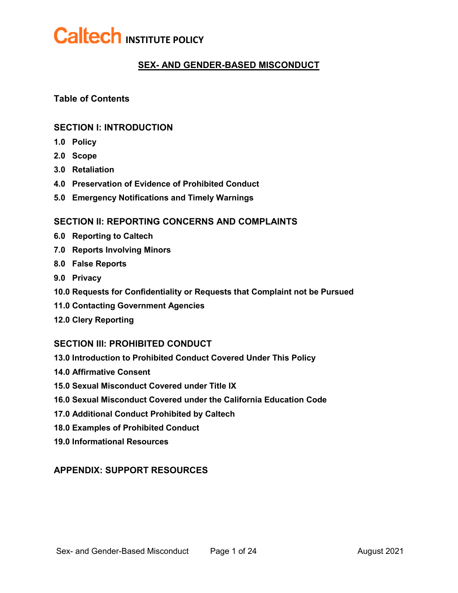# **Caltech INSTITUTE POLICY**

# **SEX- AND GENDER-BASED MISCONDUCT**

**Table of Contents**

## **SECTION I: INTRODUCTION**

- **1.0 Policy**
- **2.0 Scope**
- **3.0 Retaliation**
- **4.0 Preservation of Evidence of Prohibited Conduct**
- **5.0 Emergency Notifications and Timely Warnings**

#### **SECTION II: REPORTING CONCERNS AND COMPLAINTS**

- **6.0 Reporting to Caltech**
- **7.0 Reports Involving Minors**
- **8.0 False Reports**
- **9.0 Privacy**
- **10.0 Requests for Confidentiality or Requests that Complaint not be Pursued**
- **11.0 Contacting Government Agencies**
- **12.0 Clery Reporting**

#### **SECTION III: PROHIBITED CONDUCT**

- **13.0 Introduction to Prohibited Conduct Covered Under This Policy**
- **14.0 Affirmative Consent**
- **15.0 Sexual Misconduct Covered under Title IX**
- **16.0 Sexual Misconduct Covered under the California Education Code**
- **17.0 Additional Conduct Prohibited by Caltech**
- **18.0 Examples of Prohibited Conduct**
- **19.0 Informational Resources**

## **APPENDIX: SUPPORT RESOURCES**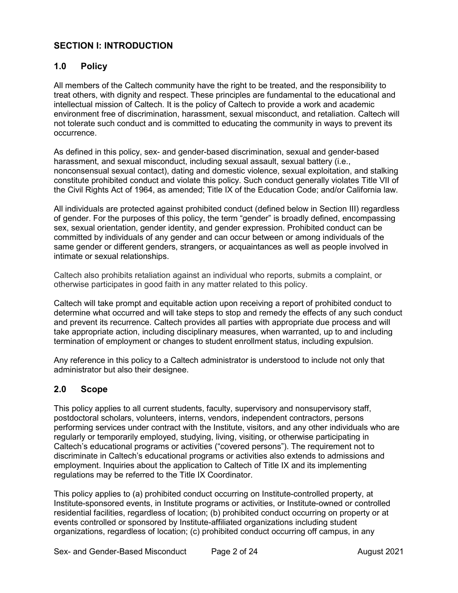# **SECTION I: INTRODUCTION**

# **1.0 Policy**

All members of the Caltech community have the right to be treated, and the responsibility to treat others, with dignity and respect. These principles are fundamental to the educational and intellectual mission of Caltech. It is the policy of Caltech to provide a work and academic environment free of discrimination, harassment, sexual misconduct, and retaliation. Caltech will not tolerate such conduct and is committed to educating the community in ways to prevent its occurrence.

As defined in this policy, sex- and gender-based discrimination, sexual and gender-based harassment, and sexual misconduct, including sexual assault, sexual battery (i.e., nonconsensual sexual contact), dating and domestic violence, sexual exploitation, and stalking constitute prohibited conduct and violate this policy. Such conduct generally violates Title VII of the Civil Rights Act of 1964, as amended; Title IX of the Education Code; and/or California law.

All individuals are protected against prohibited conduct (defined below in Section III) regardless of gender. For the purposes of this policy, the term "gender" is broadly defined, encompassing sex, sexual orientation, gender identity, and gender expression. Prohibited conduct can be committed by individuals of any gender and can occur between or among individuals of the same gender or different genders, strangers, or acquaintances as well as people involved in intimate or sexual relationships.

Caltech also prohibits retaliation against an individual who reports, submits a complaint, or otherwise participates in good faith in any matter related to this policy.

Caltech will take prompt and equitable action upon receiving a report of prohibited conduct to determine what occurred and will take steps to stop and remedy the effects of any such conduct and prevent its recurrence. Caltech provides all parties with appropriate due process and will take appropriate action, including disciplinary measures, when warranted, up to and including termination of employment or changes to student enrollment status, including expulsion.

Any reference in this policy to a Caltech administrator is understood to include not only that administrator but also their designee.

# **2.0 Scope**

This policy applies to all current students, faculty, supervisory and nonsupervisory staff, postdoctoral scholars, volunteers, interns, vendors, independent contractors, persons performing services under contract with the Institute, visitors, and any other individuals who are regularly or temporarily employed, studying, living, visiting, or otherwise participating in Caltech's educational programs or activities ("covered persons"). The requirement not to discriminate in Caltech's educational programs or activities also extends to admissions and employment. Inquiries about the application to Caltech of Title IX and its implementing regulations may be referred to the Title IX Coordinator.

This policy applies to (a) prohibited conduct occurring on Institute-controlled property, at Institute-sponsored events, in Institute programs or activities, or Institute-owned or controlled residential facilities, regardless of location; (b) prohibited conduct occurring on property or at events controlled or sponsored by Institute-affiliated organizations including student organizations, regardless of location; (c) prohibited conduct occurring off campus, in any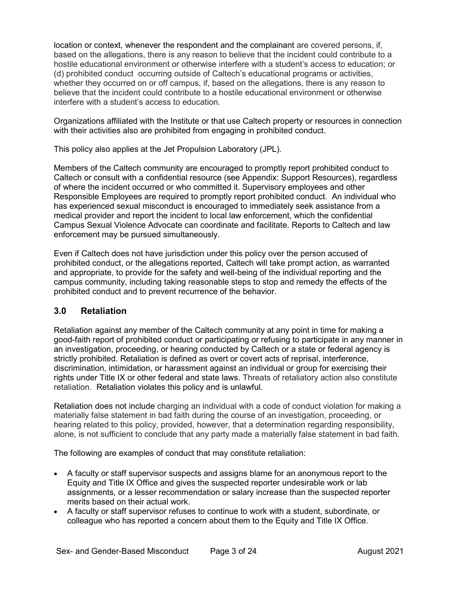location or context, whenever the respondent and the complainant are covered persons, if, based on the allegations, there is any reason to believe that the incident could contribute to a hostile educational environment or otherwise interfere with a student's access to education; or (d) prohibited conduct occurring outside of Caltech's educational programs or activities, whether they occurred on or off campus, if, based on the allegations, there is any reason to believe that the incident could contribute to a hostile educational environment or otherwise interfere with a student's access to education.

Organizations affiliated with the Institute or that use Caltech property or resources in connection with their activities also are prohibited from engaging in prohibited conduct.

This policy also applies at the Jet Propulsion Laboratory (JPL).

Members of the Caltech community are encouraged to promptly report prohibited conduct to Caltech or consult with a confidential resource (see Appendix: Support Resources), regardless of where the incident occurred or who committed it. Supervisory employees and other Responsible Employees are required to promptly report prohibited conduct. An individual who has experienced sexual misconduct is encouraged to immediately seek assistance from a medical provider and report the incident to local law enforcement, which the confidential Campus Sexual Violence Advocate can coordinate and facilitate. Reports to Caltech and law enforcement may be pursued simultaneously.

Even if Caltech does not have jurisdiction under this policy over the person accused of prohibited conduct, or the allegations reported, Caltech will take prompt action, as warranted and appropriate, to provide for the safety and well-being of the individual reporting and the campus community, including taking reasonable steps to stop and remedy the effects of the prohibited conduct and to prevent recurrence of the behavior.

# **3.0 Retaliation**

Retaliation against any member of the Caltech community at any point in time for making a good-faith report of prohibited conduct or participating or refusing to participate in any manner in an investigation, proceeding, or hearing conducted by Caltech or a state or federal agency is strictly prohibited. Retaliation is defined as overt or covert acts of reprisal, interference, discrimination, intimidation, or harassment against an individual or group for exercising their rights under Title IX or other federal and state laws. Threats of retaliatory action also constitute retaliation. Retaliation violates this policy and is unlawful.

Retaliation does not include charging an individual with a code of conduct violation for making a materially false statement in bad faith during the course of an investigation, proceeding, or hearing related to this policy, provided, however, that a determination regarding responsibility, alone, is not sufficient to conclude that any party made a materially false statement in bad faith.

The following are examples of conduct that may constitute retaliation:

- A faculty or staff supervisor suspects and assigns blame for an anonymous report to the Equity and Title IX Office and gives the suspected reporter undesirable work or lab assignments, or a lesser recommendation or salary increase than the suspected reporter merits based on their actual work.
- A faculty or staff supervisor refuses to continue to work with a student, subordinate, or colleague who has reported a concern about them to the Equity and Title IX Office.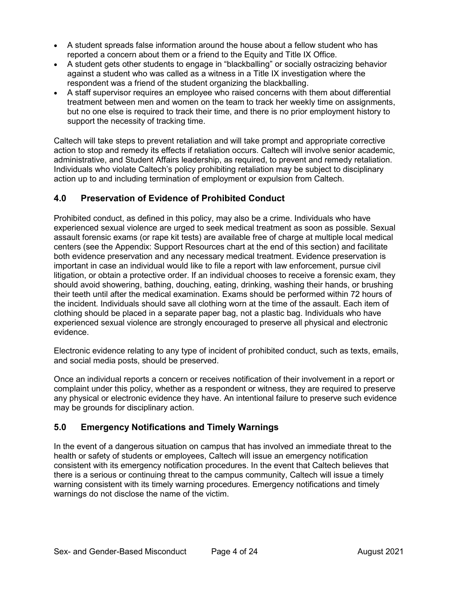- A student spreads false information around the house about a fellow student who has reported a concern about them or a friend to the Equity and Title IX Office.
- A student gets other students to engage in "blackballing" or socially ostracizing behavior against a student who was called as a witness in a Title IX investigation where the respondent was a friend of the student organizing the blackballing.
- A staff supervisor requires an employee who raised concerns with them about differential treatment between men and women on the team to track her weekly time on assignments, but no one else is required to track their time, and there is no prior employment history to support the necessity of tracking time.

Caltech will take steps to prevent retaliation and will take prompt and appropriate corrective action to stop and remedy its effects if retaliation occurs. Caltech will involve senior academic, administrative, and Student Affairs leadership, as required, to prevent and remedy retaliation. Individuals who violate Caltech's policy prohibiting retaliation may be subject to disciplinary action up to and including termination of employment or expulsion from Caltech.

# **4.0 Preservation of Evidence of Prohibited Conduct**

Prohibited conduct, as defined in this policy, may also be a crime. Individuals who have experienced sexual violence are urged to seek medical treatment as soon as possible. Sexual assault forensic exams (or rape kit tests) are available free of charge at multiple local medical centers (see the Appendix: Support Resources chart at the end of this section) and facilitate both evidence preservation and any necessary medical treatment. Evidence preservation is important in case an individual would like to file a report with law enforcement, pursue civil litigation, or obtain a protective order. If an individual chooses to receive a forensic exam, they should avoid showering, bathing, douching, eating, drinking, washing their hands, or brushing their teeth until after the medical examination. Exams should be performed within 72 hours of the incident. Individuals should save all clothing worn at the time of the assault. Each item of clothing should be placed in a separate paper bag, not a plastic bag. Individuals who have experienced sexual violence are strongly encouraged to preserve all physical and electronic evidence.

Electronic evidence relating to any type of incident of prohibited conduct, such as texts, emails, and social media posts, should be preserved.

Once an individual reports a concern or receives notification of their involvement in a report or complaint under this policy, whether as a respondent or witness, they are required to preserve any physical or electronic evidence they have. An intentional failure to preserve such evidence may be grounds for disciplinary action.

# **5.0 Emergency Notifications and Timely Warnings**

In the event of a dangerous situation on campus that has involved an immediate threat to the health or safety of students or employees, Caltech will issue an emergency notification consistent with its emergency notification procedures. In the event that Caltech believes that there is a serious or continuing threat to the campus community, Caltech will issue a timely warning consistent with its timely warning procedures. Emergency notifications and timely warnings do not disclose the name of the victim.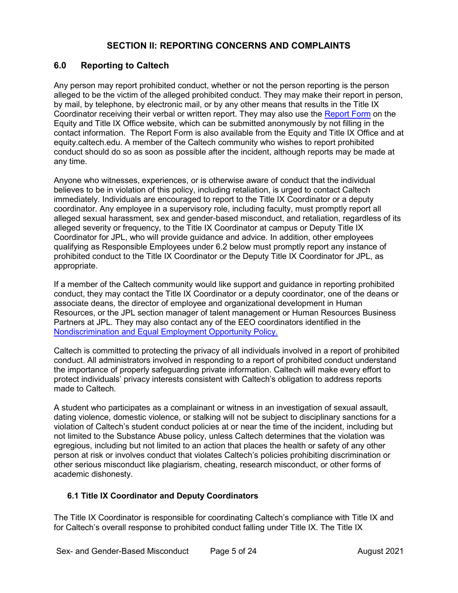# **SECTION II: REPORTING CONCERNS AND COMPLAINTS**

# **6.0 Reporting to Caltech**

Any person may report prohibited conduct, whether or not the person reporting is the person alleged to be the victim of the alleged prohibited conduct. They may make their report in person, by mail, by telephone, by electronic mail, or by any other means that results in the Title IX Coordinator receiving their verbal or written report. They may also use the [Report Form](https://forms.office.com/Pages/ResponsePage.aspx?id=2elb_XJ7-U2DDrH5zFtEvZRPR0vy3qFCqu0tMamIMplUNThMTkdSWU1JVVlMRkhPU09USlA2QlBQNC4u) on the Equity and Title IX Office website, which can be submitted anonymously by not filling in the contact information. The Report Form is also available from the Equity and Title IX Office and at equity.caltech.edu. A member of the Caltech community who wishes to report prohibited conduct should do so as soon as possible after the incident, although reports may be made at any time.

Anyone who witnesses, experiences, or is otherwise aware of conduct that the individual believes to be in violation of this policy, including retaliation, is urged to contact Caltech immediately. Individuals are encouraged to report to the Title IX Coordinator or a deputy coordinator. Any employee in a supervisory role, including faculty, must promptly report all alleged sexual harassment, sex and gender-based misconduct, and retaliation, regardless of its alleged severity or frequency, to the Title IX Coordinator at campus or Deputy Title IX Coordinator for JPL, who will provide guidance and advice. In addition, other employees qualifying as Responsible Employees under 6.2 below must promptly report any instance of prohibited conduct to the Title IX Coordinator or the Deputy Title IX Coordinator for JPL, as appropriate.

If a member of the Caltech community would like support and guidance in reporting prohibited conduct, they may contact the Title IX Coordinator or a deputy coordinator, one of the deans or associate deans, the director of employee and organizational development in Human Resources, or the JPL section manager of talent management or Human Resources Business Partners at JPL. They may also contact any of the EEO coordinators identified in the [Nondiscrimination and Equal Employment Opportunity Policy.](http://hr.caltech.edu/documents/47-citpolicy_nondiscrimination.pdf)

Caltech is committed to protecting the privacy of all individuals involved in a report of prohibited conduct. All administrators involved in responding to a report of prohibited conduct understand the importance of properly safeguarding private information. Caltech will make every effort to protect individuals' privacy interests consistent with Caltech's obligation to address reports made to Caltech.

A student who participates as a complainant or witness in an investigation of sexual assault, dating violence, domestic violence, or stalking will not be subject to disciplinary sanctions for a violation of Caltech's student conduct policies at or near the time of the incident, including but not limited to the Substance Abuse policy, unless Caltech determines that the violation was egregious, including but not limited to an action that places the health or safety of any other person at risk or involves conduct that violates Caltech's policies prohibiting discrimination or other serious misconduct like plagiarism, cheating, research misconduct, or other forms of academic dishonesty.

# **6.1 Title IX Coordinator and Deputy Coordinators**

The Title IX Coordinator is responsible for coordinating Caltech's compliance with Title IX and for Caltech's overall response to prohibited conduct falling under Title IX. The Title IX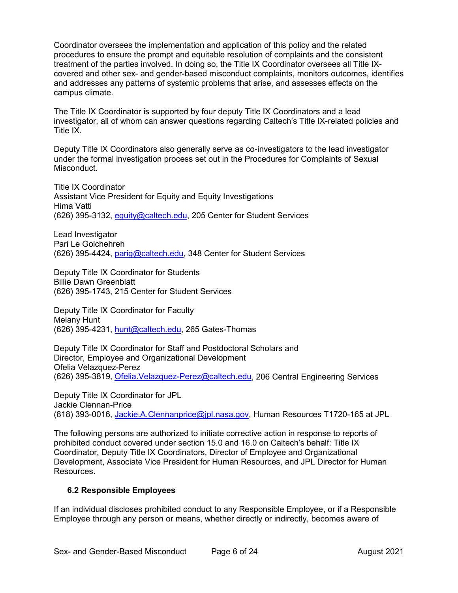Coordinator oversees the implementation and application of this policy and the related procedures to ensure the prompt and equitable resolution of complaints and the consistent treatment of the parties involved. In doing so, the Title IX Coordinator oversees all Title IXcovered and other sex- and gender-based misconduct complaints, monitors outcomes, identifies and addresses any patterns of systemic problems that arise, and assesses effects on the campus climate.

The Title IX Coordinator is supported by four deputy Title IX Coordinators and a lead investigator, all of whom can answer questions regarding Caltech's Title IX-related policies and Title IX.

Deputy Title IX Coordinators also generally serve as co-investigators to the lead investigator under the formal investigation process set out in the Procedures for Complaints of Sexual Misconduct.

Title IX Coordinator Assistant Vice President for Equity and Equity Investigations Hima Vatti (626) 395-3132, [equity@caltech.edu,](mailto:equity@caltech.edu) 205 Center for Student Services

Lead Investigator Pari Le Golchehreh (626) 395-4424, [parig@caltech.edu,](mailto:parig@caltech.edu) 348 Center for Student Services

Deputy Title IX Coordinator for Students Billie Dawn Greenblatt (626) 395-1743, 215 Center for Student Services

Deputy Title IX Coordinator for Faculty Melany Hunt (626) 395-4231, [hunt@caltech.edu,](mailto:hunt@caltech.edu) 265 Gates-Thomas

Deputy Title IX Coordinator for Staff and Postdoctoral Scholars and Director, Employee and Organizational Development Ofelia Velazquez-Perez (626) 395-3819, [Ofelia.Velazquez-Perez@caltech.edu,](file://winfile02.caltech.edu/HRShared/1%20Julia%20&%20Lina/2016%20PMs%20and%20Policies/Ofelia.Velazquez-Perez@caltech.edu) 206 Central Engineering Services

Deputy Title IX Coordinator for JPL Jackie Clennan-Price (818) 393-0016, [Jackie.A.Clennanprice@jpl.nasa.gov,](file://winfile02.caltech.edu/HRShared/1%20Julia%20&%20Lina/2016%20PMs%20and%20Policies/Jackie.A.Clennanprice@jpl.nasa.gov) Human Resources T1720-165 at JPL

The following persons are authorized to initiate corrective action in response to reports of prohibited conduct covered under section 15.0 and 16.0 on Caltech's behalf: Title IX Coordinator, Deputy Title IX Coordinators, Director of Employee and Organizational Development, Associate Vice President for Human Resources, and JPL Director for Human Resources.

#### **6.2 Responsible Employees**

If an individual discloses prohibited conduct to any Responsible Employee, or if a Responsible Employee through any person or means, whether directly or indirectly, becomes aware of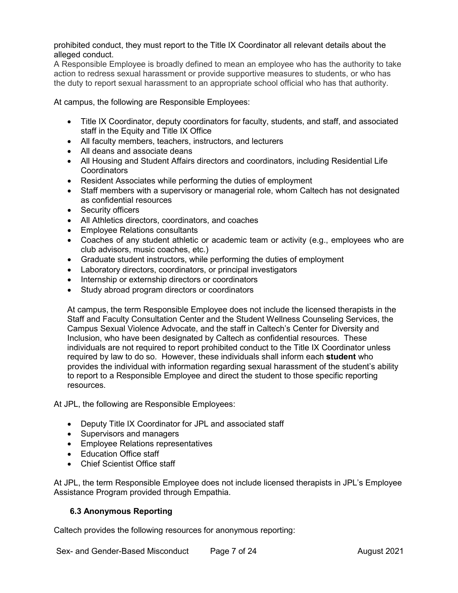prohibited conduct, they must report to the Title IX Coordinator all relevant details about the alleged conduct.

A Responsible Employee is broadly defined to mean an employee who has the authority to take action to redress sexual harassment or provide supportive measures to students, or who has the duty to report sexual harassment to an appropriate school official who has that authority.

At campus, the following are Responsible Employees:

- Title IX Coordinator, deputy coordinators for faculty, students, and staff, and associated staff in the Equity and Title IX Office
- All faculty members, teachers, instructors, and lecturers
- All deans and associate deans
- All Housing and Student Affairs directors and coordinators, including Residential Life Coordinators
- Resident Associates while performing the duties of employment
- Staff members with a supervisory or managerial role, whom Caltech has not designated as confidential resources
- Security officers
- All Athletics directors, coordinators, and coaches
- Employee Relations consultants
- Coaches of any student athletic or academic team or activity (e.g., employees who are club advisors, music coaches, etc.)
- Graduate student instructors, while performing the duties of employment
- Laboratory directors, coordinators, or principal investigators
- Internship or externship directors or coordinators
- Study abroad program directors or coordinators

At campus, the term Responsible Employee does not include the licensed therapists in the Staff and Faculty Consultation Center and the Student Wellness Counseling Services, the Campus Sexual Violence Advocate, and the staff in Caltech's Center for Diversity and Inclusion, who have been designated by Caltech as confidential resources. These individuals are not required to report prohibited conduct to the Title IX Coordinator unless required by law to do so. However, these individuals shall inform each **student** who provides the individual with information regarding sexual harassment of the student's ability to report to a Responsible Employee and direct the student to those specific reporting resources.

At JPL, the following are Responsible Employees:

- Deputy Title IX Coordinator for JPL and associated staff
- Supervisors and managers
- Employee Relations representatives
- Education Office staff
- Chief Scientist Office staff

At JPL, the term Responsible Employee does not include licensed therapists in JPL's Employee Assistance Program provided through Empathia.

#### **6.3 Anonymous Reporting**

Caltech provides the following resources for anonymous reporting: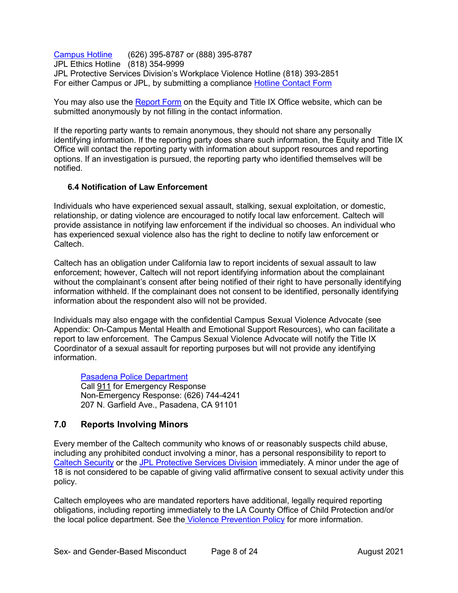[Campus Hotline](https://asic.caltech.edu/caltech-hotline) (626) 395-8787 or (888) 395-8787 JPL Ethics Hotline (818) 354-9999 JPL Protective Services Division's Workplace Violence Hotline (818) 393-2851 For either Campus or JPL, by submitting a compliance [Hotline Contact Form](https://asic.caltech.edu/caltech-hotline/contact)

You may also use the [Report Form](https://forms.office.com/Pages/ResponsePage.aspx?id=2elb_XJ7-U2DDrH5zFtEvZRPR0vy3qFCqu0tMamIMplUNThMTkdSWU1JVVlMRkhPU09USlA2QlBQNC4u) on the Equity and Title IX Office website, which can be submitted anonymously by not filling in the contact information.

If the reporting party wants to remain anonymous, they should not share any personally identifying information. If the reporting party does share such information, the Equity and Title IX Office will contact the reporting party with information about support resources and reporting options. If an investigation is pursued, the reporting party who identified themselves will be notified.

#### **6.4 Notification of Law Enforcement**

Individuals who have experienced sexual assault, stalking, sexual exploitation, or domestic, relationship, or dating violence are encouraged to notify local law enforcement. Caltech will provide assistance in notifying law enforcement if the individual so chooses. An individual who has experienced sexual violence also has the right to decline to notify law enforcement or Caltech.

Caltech has an obligation under California law to report incidents of sexual assault to law enforcement; however, Caltech will not report identifying information about the complainant without the complainant's consent after being notified of their right to have personally identifying information withheld. If the complainant does not consent to be identified, personally identifying information about the respondent also will not be provided.

Individuals may also engage with the confidential Campus Sexual Violence Advocate (see Appendix: On-Campus Mental Health and Emotional Support Resources), who can facilitate a report to law enforcement. The Campus Sexual Violence Advocate will notify the Title IX Coordinator of a sexual assault for reporting purposes but will not provide any identifying information.

[Pasadena Police Department](https://www.cityofpasadena.net/police/) Call 911 for Emergency Response Non-Emergency Response: (626) 744-4241 207 N. Garfield Ave., Pasadena, CA 91101

# **7.0 Reports Involving Minors**

Every member of the Caltech community who knows of or reasonably suspects child abuse, including any prohibited conduct involving a minor, has a personal responsibility to report to [Caltech Security](http://security.caltech.edu/) or the [JPL Protective Services Division](https://psd.jpl.nasa.gov/site/) immediately. A minor under the age of 18 is not considered to be capable of giving valid affirmative consent to sexual activity under this policy.

Caltech employees who are mandated reporters have additional, legally required reporting obligations, including reporting immediately to the LA County Office of Child Protection and/or the local police department. See the [Violence Prevention Policy](https://hr.caltech.edu/documents/2924/caltech_institute_policy-violence_prevention.pdf) for more information.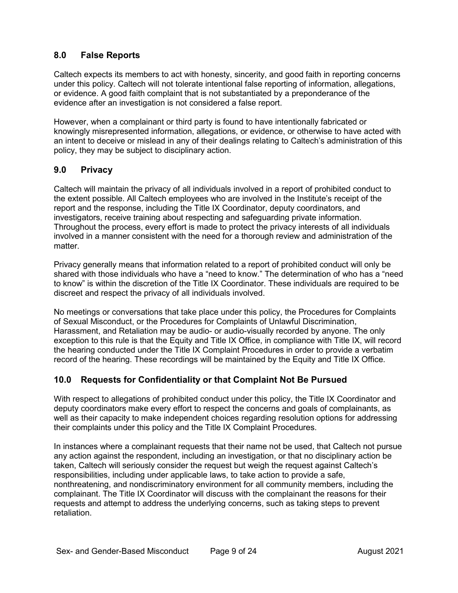# **8.0 False Reports**

Caltech expects its members to act with honesty, sincerity, and good faith in reporting concerns under this policy. Caltech will not tolerate intentional false reporting of information, allegations, or evidence. A good faith complaint that is not substantiated by a preponderance of the evidence after an investigation is not considered a false report.

However, when a complainant or third party is found to have intentionally fabricated or knowingly misrepresented information, allegations, or evidence, or otherwise to have acted with an intent to deceive or mislead in any of their dealings relating to Caltech's administration of this policy, they may be subject to disciplinary action.

# **9.0 Privacy**

Caltech will maintain the privacy of all individuals involved in a report of prohibited conduct to the extent possible. All Caltech employees who are involved in the Institute's receipt of the report and the response, including the Title IX Coordinator, deputy coordinators, and investigators, receive training about respecting and safeguarding private information. Throughout the process, every effort is made to protect the privacy interests of all individuals involved in a manner consistent with the need for a thorough review and administration of the matter.

Privacy generally means that information related to a report of prohibited conduct will only be shared with those individuals who have a "need to know." The determination of who has a "need to know" is within the discretion of the Title IX Coordinator. These individuals are required to be discreet and respect the privacy of all individuals involved.

No meetings or conversations that take place under this policy, the Procedures for Complaints of Sexual Misconduct, or the Procedures for Complaints of Unlawful Discrimination, Harassment, and Retaliation may be audio- or audio-visually recorded by anyone. The only exception to this rule is that the Equity and Title IX Office, in compliance with Title IX, will record the hearing conducted under the Title IX Complaint Procedures in order to provide a verbatim record of the hearing. These recordings will be maintained by the Equity and Title IX Office.

# **10.0 Requests for Confidentiality or that Complaint Not Be Pursued**

With respect to allegations of prohibited conduct under this policy, the Title IX Coordinator and deputy coordinators make every effort to respect the concerns and goals of complainants, as well as their capacity to make independent choices regarding resolution options for addressing their complaints under this policy and the Title IX Complaint Procedures.

In instances where a complainant requests that their name not be used, that Caltech not pursue any action against the respondent, including an investigation, or that no disciplinary action be taken, Caltech will seriously consider the request but weigh the request against Caltech's responsibilities, including under applicable laws, to take action to provide a safe, nonthreatening, and nondiscriminatory environment for all community members, including the complainant. The Title IX Coordinator will discuss with the complainant the reasons for their requests and attempt to address the underlying concerns, such as taking steps to prevent retaliation.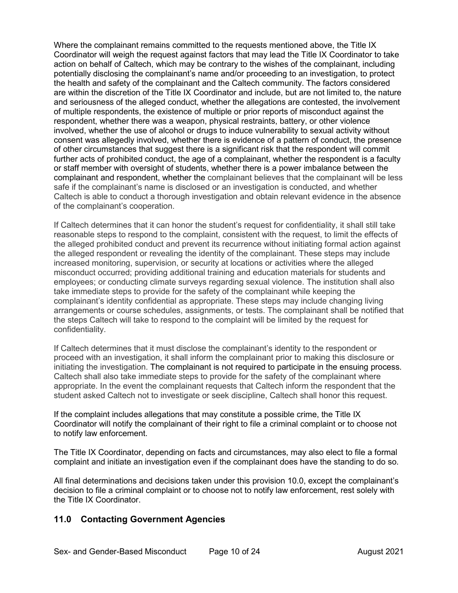Where the complainant remains committed to the requests mentioned above, the Title IX Coordinator will weigh the request against factors that may lead the Title IX Coordinator to take action on behalf of Caltech, which may be contrary to the wishes of the complainant, including potentially disclosing the complainant's name and/or proceeding to an investigation, to protect the health and safety of the complainant and the Caltech community. The factors considered are within the discretion of the Title IX Coordinator and include, but are not limited to, the nature and seriousness of the alleged conduct, whether the allegations are contested, the involvement of multiple respondents, the existence of multiple or prior reports of misconduct against the respondent, whether there was a weapon, physical restraints, battery, or other violence involved, whether the use of alcohol or drugs to induce vulnerability to sexual activity without consent was allegedly involved, whether there is evidence of a pattern of conduct, the presence of other circumstances that suggest there is a significant risk that the respondent will commit further acts of prohibited conduct, the age of a complainant, whether the respondent is a faculty or staff member with oversight of students, whether there is a power imbalance between the complainant and respondent, whether the complainant believes that the complainant will be less safe if the complainant's name is disclosed or an investigation is conducted, and whether Caltech is able to conduct a thorough investigation and obtain relevant evidence in the absence of the complainant's cooperation.

If Caltech determines that it can honor the student's request for confidentiality, it shall still take reasonable steps to respond to the complaint, consistent with the request, to limit the effects of the alleged prohibited conduct and prevent its recurrence without initiating formal action against the alleged respondent or revealing the identity of the complainant. These steps may include increased monitoring, supervision, or security at locations or activities where the alleged misconduct occurred; providing additional training and education materials for students and employees; or conducting climate surveys regarding sexual violence. The institution shall also take immediate steps to provide for the safety of the complainant while keeping the complainant's identity confidential as appropriate. These steps may include changing living arrangements or course schedules, assignments, or tests. The complainant shall be notified that the steps Caltech will take to respond to the complaint will be limited by the request for confidentiality.

If Caltech determines that it must disclose the complainant's identity to the respondent or proceed with an investigation, it shall inform the complainant prior to making this disclosure or initiating the investigation. The complainant is not required to participate in the ensuing process. Caltech shall also take immediate steps to provide for the safety of the complainant where appropriate. In the event the complainant requests that Caltech inform the respondent that the student asked Caltech not to investigate or seek discipline, Caltech shall honor this request.

If the complaint includes allegations that may constitute a possible crime, the Title IX Coordinator will notify the complainant of their right to file a criminal complaint or to choose not to notify law enforcement.

The Title IX Coordinator, depending on facts and circumstances, may also elect to file a formal complaint and initiate an investigation even if the complainant does have the standing to do so.

All final determinations and decisions taken under this provision 10.0, except the complainant's decision to file a criminal complaint or to choose not to notify law enforcement, rest solely with the Title IX Coordinator.

# **11.0 Contacting Government Agencies**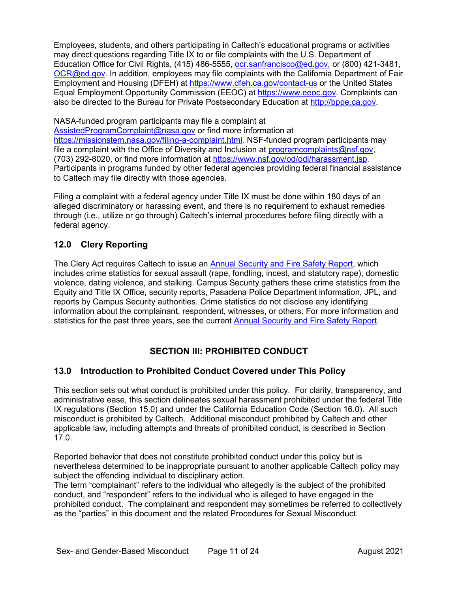Employees, students, and others participating in Caltech's educational programs or activities may direct questions regarding Title IX to or file complaints with the U.S. Department of Education Office for Civil Rights, (415) 486-5555, [ocr.sanfrancisco@ed.gov,](mailto:ocr.sanfrancisco@ed.gov) or (800) 421-3481, [OCR@ed.gov.](mailto:OCR@ed.gov) In addition, employees may file complaints with the California Department of Fair Employment and Housing (DFEH) at<https://www.dfeh.ca.gov/contact-us> or the United States Equal Employment Opportunity Commission (EEOC) at [https://www.eeoc.gov.](https://www.eeoc.gov/) Complaints can also be directed to the Bureau for Private Postsecondary Education at [http://bppe.ca.gov.](http://bppe.ca.gov/)

NASA-funded program participants may file a complaint at [AssistedProgramComplaint@nasa.gov](mailto:AssistedProgramComplaint@nasa.gov) or find more information at [https://missionstem.nasa.gov/filing-a-complaint.html.](https://missionstem.nasa.gov/filing-a-complaint.html) NSF-funded program participants may file a complaint with the Office of Diversity and Inclusion at [programcomplaints@nsf.gov,](mailto:programcomplaints@nsf.gov) (703) 292-8020, or find more information at [https://www.nsf.gov/od/odi/harassment.jsp.](https://www.nsf.gov/od/odi/harassment.jsp) Participants in programs funded by other federal agencies providing federal financial assistance to Caltech may file directly with those agencies.

Filing a complaint with a federal agency under Title IX must be done within 180 days of an alleged discriminatory or harassing event, and there is no requirement to exhaust remedies through (i.e., utilize or go through) Caltech's internal procedures before filing directly with a federal agency.

# **12.0 Clery Reporting**

The Clery Act requires Caltech to issue an [Annual Security and Fire Safety Report,](https://security.caltech.edu/documents/13860/F-2020ASR.pdf) which includes crime statistics for sexual assault (rape, fondling, incest, and statutory rape), domestic violence, dating violence, and stalking. Campus Security gathers these crime statistics from the Equity and Title IX Office, security reports, Pasadena Police Department information, JPL, and reports by Campus Security authorities. Crime statistics do not disclose any identifying information about the complainant, respondent, witnesses, or others. For more information and statistics for the past three years, see the current **Annual Security and Fire Safety Report**.

# **SECTION III: PROHIBITED CONDUCT**

# **13.0 Introduction to Prohibited Conduct Covered under This Policy**

This section sets out what conduct is prohibited under this policy. For clarity, transparency, and administrative ease, this section delineates sexual harassment prohibited under the federal Title IX regulations (Section 15.0) and under the California Education Code (Section 16.0). All such misconduct is prohibited by Caltech. Additional misconduct prohibited by Caltech and other applicable law, including attempts and threats of prohibited conduct, is described in Section 17.0.

Reported behavior that does not constitute prohibited conduct under this policy but is nevertheless determined to be inappropriate pursuant to another applicable Caltech policy may subject the offending individual to disciplinary action.

The term "complainant" refers to the individual who allegedly is the subject of the prohibited conduct, and "respondent" refers to the individual who is alleged to have engaged in the prohibited conduct. The complainant and respondent may sometimes be referred to collectively as the "parties" in this document and the related Procedures for Sexual Misconduct.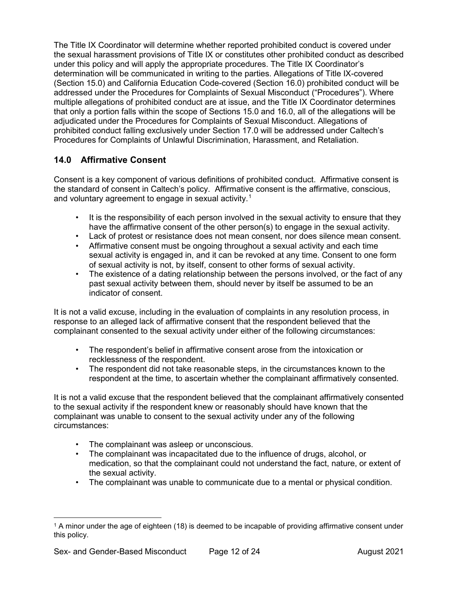The Title IX Coordinator will determine whether reported prohibited conduct is covered under the sexual harassment provisions of Title IX or constitutes other prohibited conduct as described under this policy and will apply the appropriate procedures. The Title IX Coordinator's determination will be communicated in writing to the parties. Allegations of Title IX-covered (Section 15.0) and California Education Code-covered (Section 16.0) prohibited conduct will be addressed under the Procedures for Complaints of Sexual Misconduct ("Procedures"). Where multiple allegations of prohibited conduct are at issue, and the Title IX Coordinator determines that only a portion falls within the scope of Sections 15.0 and 16.0, all of the allegations will be adjudicated under the Procedures for Complaints of Sexual Misconduct. Allegations of prohibited conduct falling exclusively under Section 17.0 will be addressed under Caltech's Procedures for Complaints of Unlawful Discrimination, Harassment, and Retaliation.

# **14.0 Affirmative Consent**

Consent is a key component of various definitions of prohibited conduct. Affirmative consent is the standard of consent in Caltech's policy. Affirmative consent is the affirmative, conscious, and voluntary agreement to engage in sexual activity. [1](#page-11-0)

- It is the responsibility of each person involved in the sexual activity to ensure that they have the affirmative consent of the other person(s) to engage in the sexual activity.
- Lack of protest or resistance does not mean consent, nor does silence mean consent.
- Affirmative consent must be ongoing throughout a sexual activity and each time sexual activity is engaged in, and it can be revoked at any time. Consent to one form of sexual activity is not, by itself, consent to other forms of sexual activity.
- The existence of a dating relationship between the persons involved, or the fact of any past sexual activity between them, should never by itself be assumed to be an indicator of consent.

It is not a valid excuse, including in the evaluation of complaints in any resolution process, in response to an alleged lack of affirmative consent that the respondent believed that the complainant consented to the sexual activity under either of the following circumstances:

- The respondent's belief in affirmative consent arose from the intoxication or recklessness of the respondent.
- The respondent did not take reasonable steps, in the circumstances known to the respondent at the time, to ascertain whether the complainant affirmatively consented.

It is not a valid excuse that the respondent believed that the complainant affirmatively consented to the sexual activity if the respondent knew or reasonably should have known that the complainant was unable to consent to the sexual activity under any of the following circumstances:

- The complainant was asleep or unconscious.
- The complainant was incapacitated due to the influence of drugs, alcohol, or medication, so that the complainant could not understand the fact, nature, or extent of the sexual activity.
- The complainant was unable to communicate due to a mental or physical condition.

 $\overline{a}$ 

<span id="page-11-0"></span><sup>&</sup>lt;sup>1</sup> A minor under the age of eighteen (18) is deemed to be incapable of providing affirmative consent under this policy.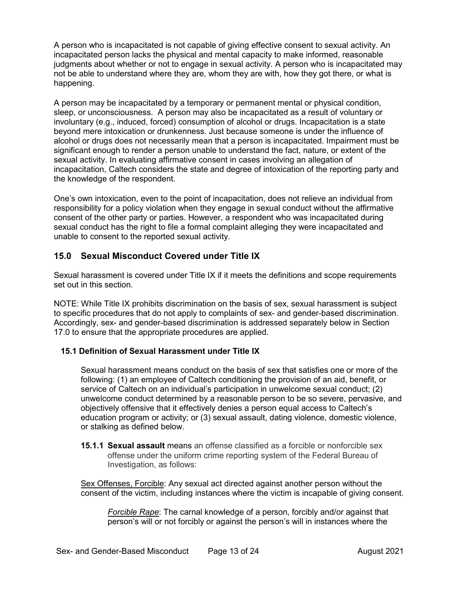A person who is incapacitated is not capable of giving effective consent to sexual activity. An incapacitated person lacks the physical and mental capacity to make informed, reasonable judgments about whether or not to engage in sexual activity. A person who is incapacitated may not be able to understand where they are, whom they are with, how they got there, or what is happening.

A person may be incapacitated by a temporary or permanent mental or physical condition, sleep, or unconsciousness. A person may also be incapacitated as a result of voluntary or involuntary (e.g., induced, forced) consumption of alcohol or drugs. Incapacitation is a state beyond mere intoxication or drunkenness. Just because someone is under the influence of alcohol or drugs does not necessarily mean that a person is incapacitated. Impairment must be significant enough to render a person unable to understand the fact, nature, or extent of the sexual activity. In evaluating affirmative consent in cases involving an allegation of incapacitation, Caltech considers the state and degree of intoxication of the reporting party and the knowledge of the respondent.

One's own intoxication, even to the point of incapacitation, does not relieve an individual from responsibility for a policy violation when they engage in sexual conduct without the affirmative consent of the other party or parties. However, a respondent who was incapacitated during sexual conduct has the right to file a formal complaint alleging they were incapacitated and unable to consent to the reported sexual activity.

# **15.0 Sexual Misconduct Covered under Title IX**

Sexual harassment is covered under Title IX if it meets the definitions and scope requirements set out in this section.

NOTE: While Title IX prohibits discrimination on the basis of sex, sexual harassment is subject to specific procedures that do not apply to complaints of sex- and gender-based discrimination. Accordingly, sex- and gender-based discrimination is addressed separately below in Section 17.0 to ensure that the appropriate procedures are applied.

#### **15.1 Definition of Sexual Harassment under Title IX**

Sexual harassment means conduct on the basis of sex that satisfies one or more of the following: (1) an employee of Caltech conditioning the provision of an aid, benefit, or service of Caltech on an individual's participation in unwelcome sexual conduct; (2) unwelcome conduct determined by a reasonable person to be so severe, pervasive, and objectively offensive that it effectively denies a person equal access to Caltech's education program or activity; or (3) sexual assault, dating violence, domestic violence, or stalking as defined below.

**15.1.1 Sexual assault** means an offense classified as a forcible or nonforcible sex offense under the uniform crime reporting system of the Federal Bureau of Investigation, as follows:

Sex Offenses, Forcible: Any sexual act directed against another person without the consent of the victim, including instances where the victim is incapable of giving consent.

*Forcible Rape*: The carnal knowledge of a person, forcibly and/or against that person's will or not forcibly or against the person's will in instances where the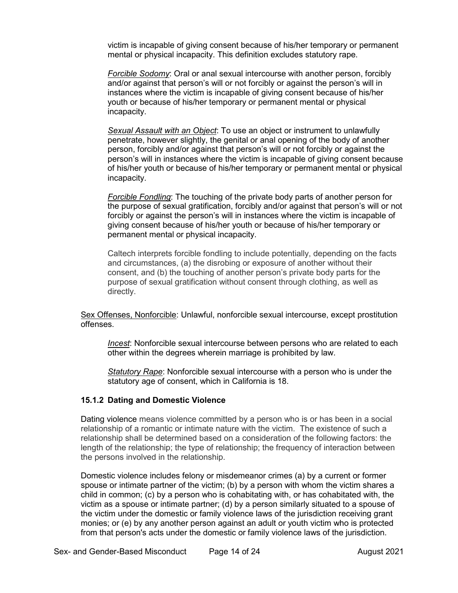victim is incapable of giving consent because of his/her temporary or permanent mental or physical incapacity. This definition excludes statutory rape.

*Forcible Sodomy*: Oral or anal sexual intercourse with another person, forcibly and/or against that person's will or not forcibly or against the person's will in instances where the victim is incapable of giving consent because of his/her youth or because of his/her temporary or permanent mental or physical incapacity.

*Sexual Assault with an Object*: To use an object or instrument to unlawfully penetrate, however slightly, the genital or anal opening of the body of another person, forcibly and/or against that person's will or not forcibly or against the person's will in instances where the victim is incapable of giving consent because of his/her youth or because of his/her temporary or permanent mental or physical incapacity.

*Forcible Fondling*: The touching of the private body parts of another person for the purpose of sexual gratification, forcibly and/or against that person's will or not forcibly or against the person's will in instances where the victim is incapable of giving consent because of his/her youth or because of his/her temporary or permanent mental or physical incapacity.

Caltech interprets forcible fondling to include potentially, depending on the facts and circumstances, (a) the disrobing or exposure of another without their consent, and (b) the touching of another person's private body parts for the purpose of sexual gratification without consent through clothing, as well as directly.

Sex Offenses, Nonforcible: Unlawful, nonforcible sexual intercourse, except prostitution offenses.

*Incest*: Nonforcible sexual intercourse between persons who are related to each other within the degrees wherein marriage is prohibited by law.

*Statutory Rape*: Nonforcible sexual intercourse with a person who is under the statutory age of consent, which in California is 18.

#### **15.1.2 Dating and Domestic Violence**

Dating violence means violence committed by a person who is or has been in a social relationship of a romantic or intimate nature with the victim. The existence of such a relationship shall be determined based on a consideration of the following factors: the length of the relationship; the type of relationship; the frequency of interaction between the persons involved in the relationship.

Domestic violence includes felony or misdemeanor crimes (a) by a current or former spouse or intimate partner of the victim; (b) by a person with whom the victim shares a child in common; (c) by a person who is cohabitating with, or has cohabitated with, the victim as a spouse or intimate partner; (d) by a person similarly situated to a spouse of the victim under the domestic or family violence laws of the jurisdiction receiving grant monies; or (e) by any another person against an adult or youth victim who is protected from that person's acts under the domestic or family violence laws of the jurisdiction.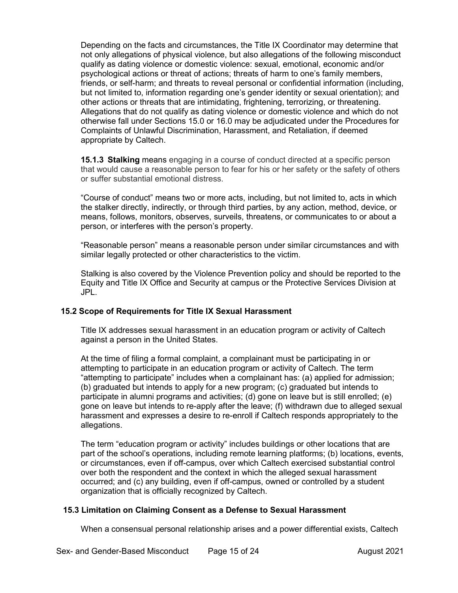Depending on the facts and circumstances, the Title IX Coordinator may determine that not only allegations of physical violence, but also allegations of the following misconduct qualify as dating violence or domestic violence: sexual, emotional, economic and/or psychological actions or threat of actions; threats of harm to one's family members, friends, or self-harm; and threats to reveal personal or confidential information (including, but not limited to, information regarding one's gender identity or sexual orientation); and other actions or threats that are intimidating, frightening, terrorizing, or threatening. Allegations that do not qualify as dating violence or domestic violence and which do not otherwise fall under Sections 15.0 or 16.0 may be adjudicated under the Procedures for Complaints of Unlawful Discrimination, Harassment, and Retaliation, if deemed appropriate by Caltech.

**15.1.3 Stalking** means engaging in a course of conduct directed at a specific person that would cause a reasonable person to fear for his or her safety or the safety of others or suffer substantial emotional distress.

"Course of conduct" means two or more acts, including, but not limited to, acts in which the stalker directly, indirectly, or through third parties, by any action, method, device, or means, follows, monitors, observes, surveils, threatens, or communicates to or about a person, or interferes with the person's property.

"Reasonable person" means a reasonable person under similar circumstances and with similar legally protected or other characteristics to the victim.

Stalking is also covered by the Violence Prevention policy and should be reported to the Equity and Title IX Office and Security at campus or the Protective Services Division at JPL.

#### **15.2 Scope of Requirements for Title IX Sexual Harassment**

Title IX addresses sexual harassment in an education program or activity of Caltech against a person in the United States.

At the time of filing a formal complaint, a complainant must be participating in or attempting to participate in an education program or activity of Caltech. The term "attempting to participate" includes when a complainant has: (a) applied for admission; (b) graduated but intends to apply for a new program; (c) graduated but intends to participate in alumni programs and activities; (d) gone on leave but is still enrolled; (e) gone on leave but intends to re-apply after the leave; (f) withdrawn due to alleged sexual harassment and expresses a desire to re-enroll if Caltech responds appropriately to the allegations.

The term "education program or activity" includes buildings or other locations that are part of the school's operations, including remote learning platforms; (b) locations, events, or circumstances, even if off-campus, over which Caltech exercised substantial control over both the respondent and the context in which the alleged sexual harassment occurred; and (c) any building, even if off-campus, owned or controlled by a student organization that is officially recognized by Caltech.

#### **15.3 Limitation on Claiming Consent as a Defense to Sexual Harassment**

When a consensual personal relationship arises and a power differential exists, Caltech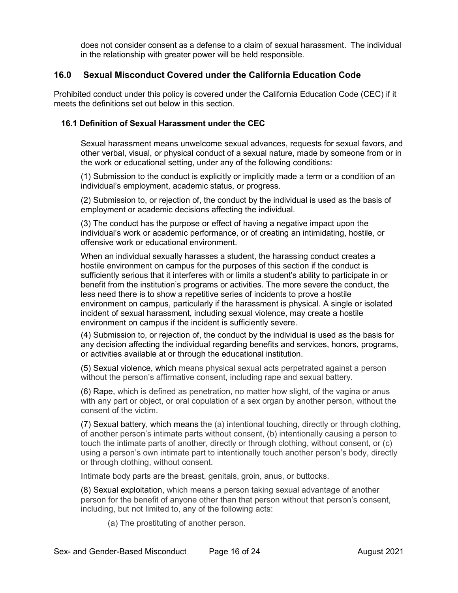does not consider consent as a defense to a claim of sexual harassment. The individual in the relationship with greater power will be held responsible.

## **16.0 Sexual Misconduct Covered under the California Education Code**

Prohibited conduct under this policy is covered under the California Education Code (CEC) if it meets the definitions set out below in this section.

#### **16.1 Definition of Sexual Harassment under the CEC**

Sexual harassment means unwelcome sexual advances, requests for sexual favors, and other verbal, visual, or physical conduct of a sexual nature, made by someone from or in the work or educational setting, under any of the following conditions:

(1) Submission to the conduct is explicitly or implicitly made a term or a condition of an individual's employment, academic status, or progress.

(2) Submission to, or rejection of, the conduct by the individual is used as the basis of employment or academic decisions affecting the individual.

(3) The conduct has the purpose or effect of having a negative impact upon the individual's work or academic performance, or of creating an intimidating, hostile, or offensive work or educational environment.

When an individual sexually harasses a student, the harassing conduct creates a hostile environment on campus for the purposes of this section if the conduct is sufficiently serious that it interferes with or limits a student's ability to participate in or benefit from the institution's programs or activities. The more severe the conduct, the less need there is to show a repetitive series of incidents to prove a hostile environment on campus, particularly if the harassment is physical. A single or isolated incident of sexual harassment, including sexual violence, may create a hostile environment on campus if the incident is sufficiently severe.

(4) Submission to, or rejection of, the conduct by the individual is used as the basis for any decision affecting the individual regarding benefits and services, honors, programs, or activities available at or through the educational institution.

(5) Sexual violence, which means physical sexual acts perpetrated against a person without the person's affirmative consent, including rape and sexual battery.

(6) Rape, which is defined as penetration, no matter how slight, of the vagina or anus with any part or object, or oral copulation of a sex organ by another person, without the consent of the victim.

(7) Sexual battery, which means the (a) intentional touching, directly or through clothing, of another person's intimate parts without consent, (b) intentionally causing a person to touch the intimate parts of another, directly or through clothing, without consent, or (c) using a person's own intimate part to intentionally touch another person's body, directly or through clothing, without consent.

Intimate body parts are the breast, genitals, groin, anus, or buttocks.

(8) Sexual exploitation, which means a person taking sexual advantage of another person for the benefit of anyone other than that person without that person's consent, including, but not limited to, any of the following acts:

(a) The prostituting of another person.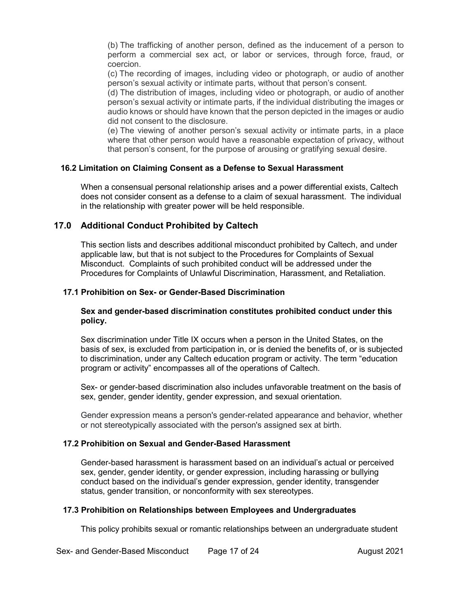(b) The trafficking of another person, defined as the inducement of a person to perform a commercial sex act, or labor or services, through force, fraud, or coercion.

(c) The recording of images, including video or photograph, or audio of another person's sexual activity or intimate parts, without that person's consent.

(d) The distribution of images, including video or photograph, or audio of another person's sexual activity or intimate parts, if the individual distributing the images or audio knows or should have known that the person depicted in the images or audio did not consent to the disclosure.

(e) The viewing of another person's sexual activity or intimate parts, in a place where that other person would have a reasonable expectation of privacy, without that person's consent, for the purpose of arousing or gratifying sexual desire.

#### **16.2 Limitation on Claiming Consent as a Defense to Sexual Harassment**

When a consensual personal relationship arises and a power differential exists, Caltech does not consider consent as a defense to a claim of sexual harassment. The individual in the relationship with greater power will be held responsible.

## **17.0 Additional Conduct Prohibited by Caltech**

This section lists and describes additional misconduct prohibited by Caltech, and under applicable law, but that is not subject to the Procedures for Complaints of Sexual Misconduct. Complaints of such prohibited conduct will be addressed under the Procedures for Complaints of Unlawful Discrimination, Harassment, and Retaliation.

#### **17.1 Prohibition on Sex- or Gender-Based Discrimination**

#### **Sex and gender-based discrimination constitutes prohibited conduct under this policy.**

Sex discrimination under Title IX occurs when a person in the United States, on the basis of sex, is excluded from participation in, or is denied the benefits of, or is subjected to discrimination, under any Caltech education program or activity. The term "education program or activity" encompasses all of the operations of Caltech.

Sex- or gender-based discrimination also includes unfavorable treatment on the basis of sex, gender, gender identity, gender expression, and sexual orientation.

Gender expression means a person's gender-related appearance and behavior, whether or not stereotypically associated with the person's assigned sex at birth.

#### **17.2 Prohibition on Sexual and Gender-Based Harassment**

Gender-based harassment is harassment based on an individual's actual or perceived sex, gender, gender identity, or gender expression, including harassing or bullying conduct based on the individual's gender expression, gender identity, transgender status, gender transition, or nonconformity with sex stereotypes.

#### **17.3 Prohibition on Relationships between Employees and Undergraduates**

This policy prohibits sexual or romantic relationships between an undergraduate student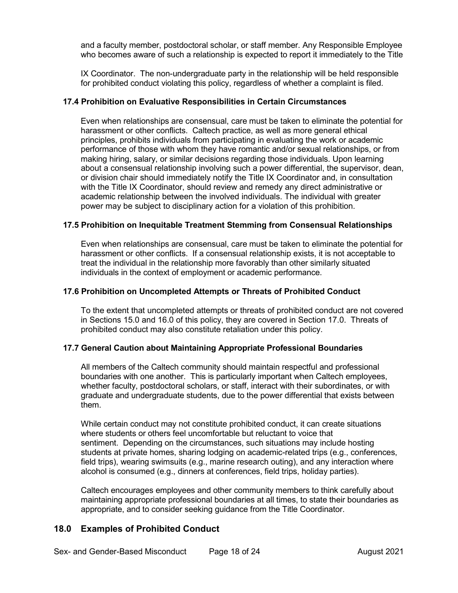and a faculty member, postdoctoral scholar, or staff member. Any Responsible Employee who becomes aware of such a relationship is expected to report it immediately to the Title

IX Coordinator. The non-undergraduate party in the relationship will be held responsible for prohibited conduct violating this policy, regardless of whether a complaint is filed.

#### **17.4 Prohibition on Evaluative Responsibilities in Certain Circumstances**

Even when relationships are consensual, care must be taken to eliminate the potential for harassment or other conflicts. Caltech practice, as well as more general ethical principles, prohibits individuals from participating in evaluating the work or academic performance of those with whom they have romantic and/or sexual relationships, or from making hiring, salary, or similar decisions regarding those individuals. Upon learning about a consensual relationship involving such a power differential, the supervisor, dean, or division chair should immediately notify the Title IX Coordinator and, in consultation with the Title IX Coordinator, should review and remedy any direct administrative or academic relationship between the involved individuals. The individual with greater power may be subject to disciplinary action for a violation of this prohibition.

#### **17.5 Prohibition on Inequitable Treatment Stemming from Consensual Relationships**

Even when relationships are consensual, care must be taken to eliminate the potential for harassment or other conflicts. If a consensual relationship exists, it is not acceptable to treat the individual in the relationship more favorably than other similarly situated individuals in the context of employment or academic performance.

#### **17.6 Prohibition on Uncompleted Attempts or Threats of Prohibited Conduct**

To the extent that uncompleted attempts or threats of prohibited conduct are not covered in Sections 15.0 and 16.0 of this policy, they are covered in Section 17.0. Threats of prohibited conduct may also constitute retaliation under this policy.

#### **17.7 General Caution about Maintaining Appropriate Professional Boundaries**

All members of the Caltech community should maintain respectful and professional boundaries with one another. This is particularly important when Caltech employees, whether faculty, postdoctoral scholars, or staff, interact with their subordinates, or with graduate and undergraduate students, due to the power differential that exists between them.

While certain conduct may not constitute prohibited conduct, it can create situations where students or others feel uncomfortable but reluctant to voice that sentiment. Depending on the circumstances, such situations may include hosting students at private homes, sharing lodging on academic-related trips (e.g., conferences, field trips), wearing swimsuits (e.g., marine research outing), and any interaction where alcohol is consumed (e.g., dinners at conferences, field trips, holiday parties).

Caltech encourages employees and other community members to think carefully about maintaining appropriate professional boundaries at all times, to state their boundaries as appropriate, and to consider seeking guidance from the Title Coordinator.

#### **18.0 Examples of Prohibited Conduct**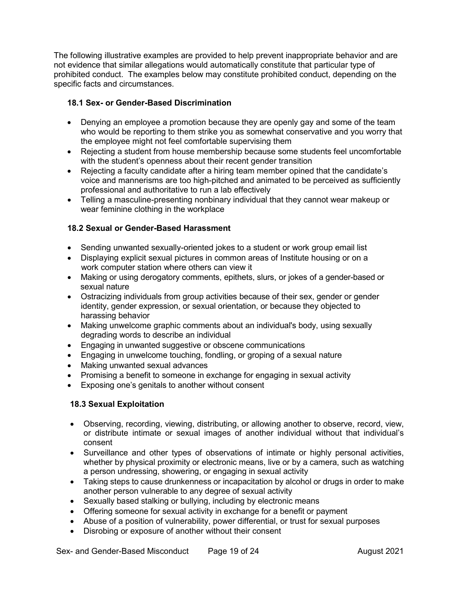The following illustrative examples are provided to help prevent inappropriate behavior and are not evidence that similar allegations would automatically constitute that particular type of prohibited conduct. The examples below may constitute prohibited conduct, depending on the specific facts and circumstances.

#### **18.1 Sex- or Gender-Based Discrimination**

- Denying an employee a promotion because they are openly gay and some of the team who would be reporting to them strike you as somewhat conservative and you worry that the employee might not feel comfortable supervising them
- Rejecting a student from house membership because some students feel uncomfortable with the student's openness about their recent gender transition
- Rejecting a faculty candidate after a hiring team member opined that the candidate's voice and mannerisms are too high-pitched and animated to be perceived as sufficiently professional and authoritative to run a lab effectively
- Telling a masculine-presenting nonbinary individual that they cannot wear makeup or wear feminine clothing in the workplace

## **18.2 Sexual or Gender-Based Harassment**

- Sending unwanted sexually-oriented jokes to a student or work group email list
- Displaying explicit sexual pictures in common areas of Institute housing or on a work computer station where others can view it
- Making or using derogatory comments, epithets, slurs, or jokes of a gender-based or sexual nature
- Ostracizing individuals from group activities because of their sex, gender or gender identity, gender expression, or sexual orientation, or because they objected to harassing behavior
- Making unwelcome graphic comments about an individual's body, using sexually degrading words to describe an individual
- Engaging in unwanted suggestive or obscene communications
- Engaging in unwelcome touching, fondling, or groping of a sexual nature
- Making unwanted sexual advances
- Promising a benefit to someone in exchange for engaging in sexual activity
- Exposing one's genitals to another without consent

#### **18.3 Sexual Exploitation**

- Observing, recording, viewing, distributing, or allowing another to observe, record, view, or distribute intimate or sexual images of another individual without that individual's consent
- Surveillance and other types of observations of intimate or highly personal activities, whether by physical proximity or electronic means, live or by a camera, such as watching a person undressing, showering, or engaging in sexual activity
- Taking steps to cause drunkenness or incapacitation by alcohol or drugs in order to make another person vulnerable to any degree of sexual activity
- Sexually based stalking or bullying, including by electronic means
- Offering someone for sexual activity in exchange for a benefit or payment
- Abuse of a position of vulnerability, power differential, or trust for sexual purposes
- Disrobing or exposure of another without their consent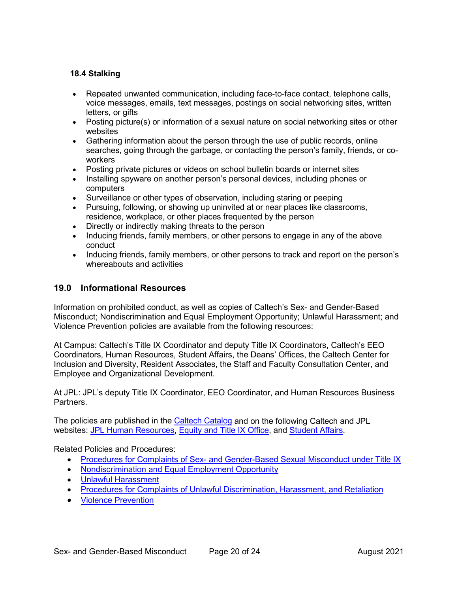## **18.4 Stalking**

- Repeated unwanted communication, including face-to-face contact, telephone calls, voice messages, emails, text messages, postings on social networking sites, written letters, or gifts
- Posting picture(s) or information of a sexual nature on social networking sites or other websites
- Gathering information about the person through the use of public records, online searches, going through the garbage, or contacting the person's family, friends, or coworkers
- Posting private pictures or videos on school bulletin boards or internet sites
- Installing spyware on another person's personal devices, including phones or computers
- Surveillance or other types of observation, including staring or peeping
- Pursuing, following, or showing up uninvited at or near places like classrooms, residence, workplace, or other places frequented by the person
- Directly or indirectly making threats to the person
- Inducing friends, family members, or other persons to engage in any of the above conduct
- Inducing friends, family members, or other persons to track and report on the person's whereabouts and activities

# **19.0 Informational Resources**

Information on prohibited conduct, as well as copies of Caltech's Sex- and Gender-Based Misconduct; Nondiscrimination and Equal Employment Opportunity; Unlawful Harassment; and Violence Prevention policies are available from the following resources:

At Campus: Caltech's Title IX Coordinator and deputy Title IX Coordinators, Caltech's EEO Coordinators, Human Resources, Student Affairs, the Deans' Offices, the Caltech Center for Inclusion and Diversity, Resident Associates, the Staff and Faculty Consultation Center, and Employee and Organizational Development.

At JPL: JPL's deputy Title IX Coordinator, EEO Coordinator, and Human Resources Business Partners.

The policies are published in the [Caltech Catalog](http://www.catalog.caltech.edu/current) and on the following Caltech and JPL websites: [JPL Human Resources,](https://hr.jpl.nasa.gov/) [Equity and Title IX](https://titleix.caltech.edu/) Office, and [Student Affairs.](http://studaff.caltech.edu/)

Related Policies and Procedures:

- Procedures for Complaints of Sex- [and Gender-Based Sexual Misconduct](https://hr.caltech.edu/documents/3565/caltech_institute_procedure-procedures_for_complaints_of_sex_and_gender_based_misconduct_under_title_ix.pdf) under Title IX
- [Nondiscrimination and Equal Employment Opportunity](https://hr.caltech.edu/documents/2647/caltech_institute_policy-nondiscrmination_and_equal_opportunity_employment.pdf)
- [Unlawful Harassment](https://hr.caltech.edu/documents/2641/caltech_institute_policy-unlawful_harassment.pdf)
- [Procedures for Complaints of Unlawful Discrimination, Harassment, and Retaliation](https://hr.caltech.edu/documents/2704/caltech_institute_procedure-procedures_for_complaints_of_unlawful_discrimination_harassment_and_retaliation.pdf)
- [Violence Prevention](http://www.hr.caltech.edu/documents/186-pm34.pdf)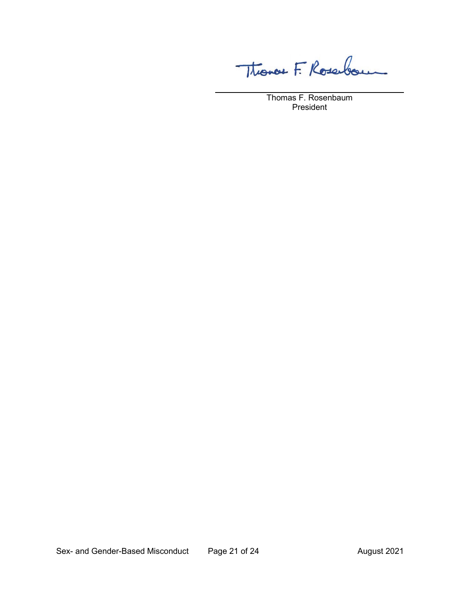Thomas F. Rosenbor

Thomas F. Rosenbaum President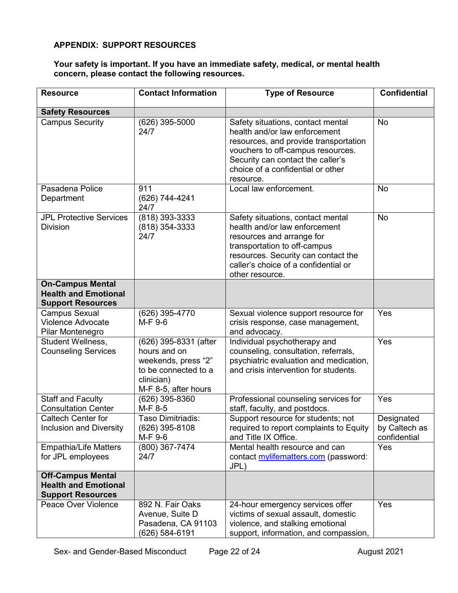## **APPENDIX: SUPPORT RESOURCES**

#### **Your safety is important. If you have an immediate safety, medical, or mental health concern, please contact the following resources.**

| <b>Resource</b>                                                                     | <b>Contact Information</b>                                                                                                 | <b>Type of Resource</b>                                                                                                                                                                                                                 | <b>Confidential</b>                         |
|-------------------------------------------------------------------------------------|----------------------------------------------------------------------------------------------------------------------------|-----------------------------------------------------------------------------------------------------------------------------------------------------------------------------------------------------------------------------------------|---------------------------------------------|
| <b>Safety Resources</b>                                                             |                                                                                                                            |                                                                                                                                                                                                                                         |                                             |
| <b>Campus Security</b>                                                              | (626) 395-5000<br>24/7                                                                                                     | Safety situations, contact mental<br>health and/or law enforcement<br>resources, and provide transportation<br>vouchers to off-campus resources.<br>Security can contact the caller's<br>choice of a confidential or other<br>resource. | <b>No</b>                                   |
| Pasadena Police<br>Department                                                       | 911<br>(626) 744-4241<br>24/7                                                                                              | Local law enforcement.                                                                                                                                                                                                                  | <b>No</b>                                   |
| <b>JPL Protective Services</b><br><b>Division</b>                                   | (818) 393-3333<br>$(818)$ 354-3333<br>24/7                                                                                 | Safety situations, contact mental<br>health and/or law enforcement<br>resources and arrange for<br>transportation to off-campus<br>resources. Security can contact the<br>caller's choice of a confidential or<br>other resource.       | No                                          |
| <b>On-Campus Mental</b><br><b>Health and Emotional</b><br><b>Support Resources</b>  |                                                                                                                            |                                                                                                                                                                                                                                         |                                             |
| <b>Campus Sexual</b><br><b>Violence Advocate</b><br>Pilar Montenegro                | (626) 395-4770<br>M-F 9-6                                                                                                  | Sexual violence support resource for<br>crisis response, case management,<br>and advocacy.                                                                                                                                              | Yes                                         |
| <b>Student Wellness,</b><br><b>Counseling Services</b>                              | (626) 395-8331 (after<br>hours and on<br>weekends, press "2"<br>to be connected to a<br>clinician)<br>M-F 8-5, after hours | Individual psychotherapy and<br>counseling, consultation, referrals,<br>psychiatric evaluation and medication,<br>and crisis intervention for students.                                                                                 | Yes                                         |
| <b>Staff and Faculty</b><br><b>Consultation Center</b>                              | (626) 395-8360<br>M-F 8-5                                                                                                  | Professional counseling services for<br>staff, faculty, and postdocs.                                                                                                                                                                   | Yes                                         |
| <b>Caltech Center for</b><br>Inclusion and Diversity                                | Taso Dimitriadis:<br>(626) 395-8108<br>M-F 9-6                                                                             | Support resource for students; not<br>required to report complaints to Equity<br>and Title IX Office.                                                                                                                                   | Designated<br>by Caltech as<br>confidential |
| <b>Empathia/Life Matters</b><br>for JPL employees                                   | (800) 367-7474<br>24/7                                                                                                     | Mental health resource and can<br>contact mylifematters.com (password:<br>JPL)                                                                                                                                                          | Yes                                         |
| <b>Off-Campus Mental</b><br><b>Health and Emotional</b><br><b>Support Resources</b> |                                                                                                                            |                                                                                                                                                                                                                                         |                                             |
| Peace Over Violence                                                                 | 892 N. Fair Oaks<br>Avenue, Suite D<br>Pasadena, CA 91103<br>(626) 584-6191                                                | 24-hour emergency services offer<br>victims of sexual assault, domestic<br>violence, and stalking emotional<br>support, information, and compassion,                                                                                    | Yes                                         |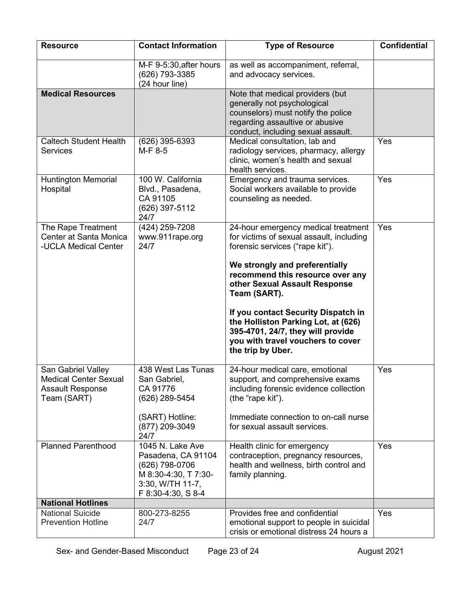| <b>Resource</b>                                                                                                                                       | <b>Contact Information</b>                                                                                                 | <b>Type of Resource</b>                                                                                                                                                                                                                                                                                                                                                                                                                                                                                                                 | <b>Confidential</b> |
|-------------------------------------------------------------------------------------------------------------------------------------------------------|----------------------------------------------------------------------------------------------------------------------------|-----------------------------------------------------------------------------------------------------------------------------------------------------------------------------------------------------------------------------------------------------------------------------------------------------------------------------------------------------------------------------------------------------------------------------------------------------------------------------------------------------------------------------------------|---------------------|
|                                                                                                                                                       | M-F 9-5:30, after hours<br>(626) 793-3385<br>(24 hour line)                                                                | as well as accompaniment, referral,<br>and advocacy services.                                                                                                                                                                                                                                                                                                                                                                                                                                                                           |                     |
| <b>Medical Resources</b>                                                                                                                              |                                                                                                                            | Note that medical providers (but<br>generally not psychological<br>counselors) must notify the police<br>regarding assaultive or abusive<br>conduct, including sexual assault.                                                                                                                                                                                                                                                                                                                                                          |                     |
| <b>Caltech Student Health</b><br><b>Services</b>                                                                                                      | (626) 395-6393<br>M-F 8-5                                                                                                  | Medical consultation, lab and<br>radiology services, pharmacy, allergy<br>clinic, women's health and sexual<br>health services.                                                                                                                                                                                                                                                                                                                                                                                                         | Yes                 |
| <b>Huntington Memorial</b><br>Hospital                                                                                                                | 100 W. California<br>Blvd., Pasadena,<br>CA 91105<br>(626) 397-5112<br>24/7                                                | Emergency and trauma services.<br>Social workers available to provide<br>counseling as needed.                                                                                                                                                                                                                                                                                                                                                                                                                                          | Yes                 |
| The Rape Treatment<br>Center at Santa Monica<br>-UCLA Medical Center<br>San Gabriel Valley<br><b>Medical Center Sexual</b><br><b>Assault Response</b> | (424) 259-7208<br>www.911rape.org<br>24/7<br>438 West Las Tunas<br>San Gabriel,<br>CA 91776<br>(626) 289-5454              | 24-hour emergency medical treatment<br>for victims of sexual assault, including<br>forensic services ("rape kit").<br>We strongly and preferentially<br>recommend this resource over any<br>other Sexual Assault Response<br>Team (SART).<br>If you contact Security Dispatch in<br>the Holliston Parking Lot, at (626)<br>395-4701, 24/7, they will provide<br>you with travel vouchers to cover<br>the trip by Uber.<br>24-hour medical care, emotional<br>support, and comprehensive exams<br>including forensic evidence collection | Yes<br>Yes          |
| Team (SART)                                                                                                                                           | (SART) Hotline:<br>(877) 209-3049<br>24/7                                                                                  | (the "rape kit").<br>Immediate connection to on-call nurse<br>for sexual assault services.                                                                                                                                                                                                                                                                                                                                                                                                                                              |                     |
| <b>Planned Parenthood</b>                                                                                                                             | 1045 N. Lake Ave<br>Pasadena, CA 91104<br>(626) 798-0706<br>M 8:30-4:30, T 7:30-<br>3:30, W/TH 11-7,<br>F 8:30-4:30, S 8-4 | Health clinic for emergency<br>contraception, pregnancy resources,<br>health and wellness, birth control and<br>family planning.                                                                                                                                                                                                                                                                                                                                                                                                        | Yes                 |
| <b>National Hotlines</b>                                                                                                                              |                                                                                                                            |                                                                                                                                                                                                                                                                                                                                                                                                                                                                                                                                         |                     |
| <b>National Suicide</b><br><b>Prevention Hotline</b>                                                                                                  | 800-273-8255<br>24/7                                                                                                       | Provides free and confidential<br>emotional support to people in suicidal<br>crisis or emotional distress 24 hours a                                                                                                                                                                                                                                                                                                                                                                                                                    | Yes                 |